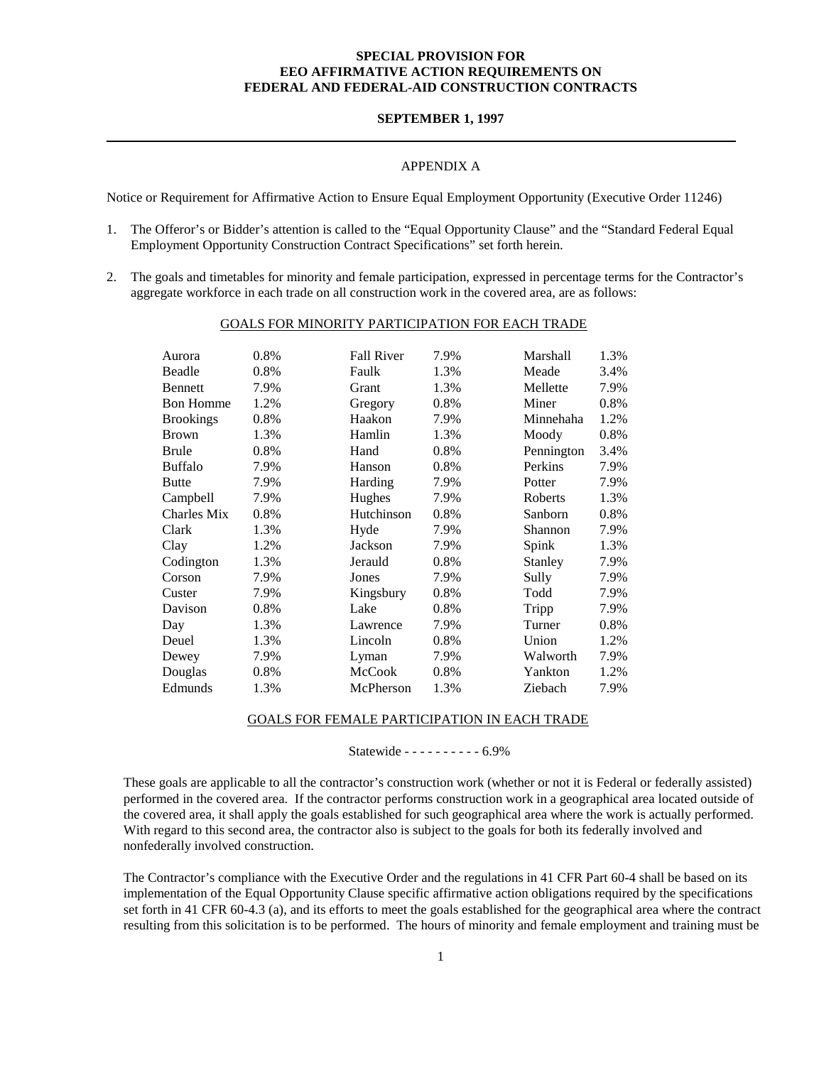### **SPECIAL PROVISION FOR EEO AFFIRMATIVE ACTION REQUIREMENTS ON FEDERAL AND FEDERAL-AID CONSTRUCTION CONTRACTS**

## **SEPTEMBER 1, 1997**

### APPENDIX A

Notice or Requirement for Affirmative Action to Ensure Equal Employment Opportunity (Executive Order 11246)

- 1. The Offeror's or Bidder's attention is called to the "Equal Opportunity Clause" and the "Standard Federal Equal Employment Opportunity Construction Contract Specifications" set forth herein.
- 2. The goals and timetables for minority and female participation, expressed in percentage terms for the Contractor's aggregate workforce in each trade on all construction work in the covered area, are as follows:

#### GOALS FOR MINORITY PARTICIPATION FOR EACH TRADE

| Aurora             | 0.8% | <b>Fall River</b> | 7.9% | Marshall   | 1.3% |
|--------------------|------|-------------------|------|------------|------|
| Beadle             | 0.8% | Faulk             | 1.3% | Meade      | 3.4% |
| <b>Bennett</b>     | 7.9% | Grant             | 1.3% | Mellette   | 7.9% |
| <b>Bon Homme</b>   | 1.2% | Gregory           | 0.8% | Miner      | 0.8% |
| <b>Brookings</b>   | 0.8% | Haakon            | 7.9% | Minnehaha  | 1.2% |
| <b>Brown</b>       | 1.3% | Hamlin            | 1.3% | Moody      | 0.8% |
| Brule              | 0.8% | Hand              | 0.8% | Pennington | 3.4% |
| <b>Buffalo</b>     | 7.9% | Hanson            | 0.8% | Perkins    | 7.9% |
| Butte              | 7.9% | Harding           | 7.9% | Potter     | 7.9% |
| Campbell           | 7.9% | Hughes            | 7.9% | Roberts    | 1.3% |
| <b>Charles Mix</b> | 0.8% | Hutchinson        | 0.8% | Sanborn    | 0.8% |
| Clark              | 1.3% | Hyde              | 7.9% | Shannon    | 7.9% |
| Clay               | 1.2% | Jackson           | 7.9% | Spink      | 1.3% |
| Codington          | 1.3% | Jerauld           | 0.8% | Stanley    | 7.9% |
| Corson             | 7.9% | Jones             | 7.9% | Sully      | 7.9% |
| Custer             | 7.9% | Kingsbury         | 0.8% | Todd       | 7.9% |
| Davison            | 0.8% | Lake              | 0.8% | Tripp      | 7.9% |
| Day                | 1.3% | Lawrence          | 7.9% | Turner     | 0.8% |
| Deuel              | 1.3% | Lincoln           | 0.8% | Union      | 1.2% |
| Dewey              | 7.9% | Lyman             | 7.9% | Walworth   | 7.9% |
| Douglas            | 0.8% | McCook            | 0.8% | Yankton    | 1.2% |
| Edmunds            | 1.3% | McPherson         | 1.3% | Ziebach    | 7.9% |
|                    |      |                   |      |            |      |

## GOALS FOR FEMALE PARTICIPATION IN EACH TRADE

Statewide - - - - - - - - - - 6.9%

 These goals are applicable to all the contractor's construction work (whether or not it is Federal or federally assisted) performed in the covered area. If the contractor performs construction work in a geographical area located outside of the covered area, it shall apply the goals established for such geographical area where the work is actually performed. With regard to this second area, the contractor also is subject to the goals for both its federally involved and nonfederally involved construction.

 The Contractor's compliance with the Executive Order and the regulations in 41 CFR Part 60-4 shall be based on its implementation of the Equal Opportunity Clause specific affirmative action obligations required by the specifications set forth in 41 CFR 60-4.3 (a), and its efforts to meet the goals established for the geographical area where the contract resulting from this solicitation is to be performed. The hours of minority and female employment and training must be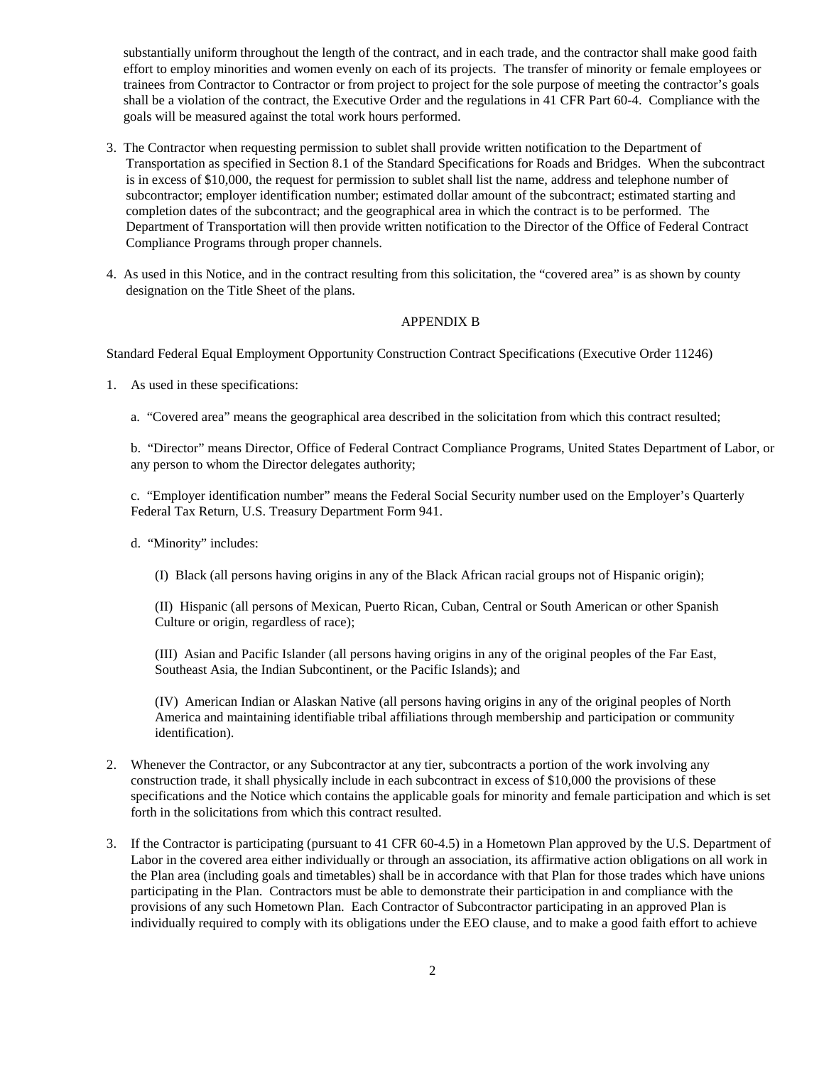substantially uniform throughout the length of the contract, and in each trade, and the contractor shall make good faith effort to employ minorities and women evenly on each of its projects. The transfer of minority or female employees or trainees from Contractor to Contractor or from project to project for the sole purpose of meeting the contractor's goals shall be a violation of the contract, the Executive Order and the regulations in 41 CFR Part 60-4. Compliance with the goals will be measured against the total work hours performed.

- 3. The Contractor when requesting permission to sublet shall provide written notification to the Department of Transportation as specified in Section 8.1 of the Standard Specifications for Roads and Bridges. When the subcontract is in excess of \$10,000, the request for permission to sublet shall list the name, address and telephone number of subcontractor; employer identification number; estimated dollar amount of the subcontract; estimated starting and completion dates of the subcontract; and the geographical area in which the contract is to be performed. The Department of Transportation will then provide written notification to the Director of the Office of Federal Contract Compliance Programs through proper channels.
- 4. As used in this Notice, and in the contract resulting from this solicitation, the "covered area" is as shown by county designation on the Title Sheet of the plans.

# APPENDIX B

Standard Federal Equal Employment Opportunity Construction Contract Specifications (Executive Order 11246)

- 1. As used in these specifications:
	- a. "Covered area" means the geographical area described in the solicitation from which this contract resulted;

b. "Director" means Director, Office of Federal Contract Compliance Programs, United States Department of Labor, or any person to whom the Director delegates authority;

c. "Employer identification number" means the Federal Social Security number used on the Employer's Quarterly Federal Tax Return, U.S. Treasury Department Form 941.

d. "Minority" includes:

(I) Black (all persons having origins in any of the Black African racial groups not of Hispanic origin);

(II) Hispanic (all persons of Mexican, Puerto Rican, Cuban, Central or South American or other Spanish Culture or origin, regardless of race);

(III) Asian and Pacific Islander (all persons having origins in any of the original peoples of the Far East, Southeast Asia, the Indian Subcontinent, or the Pacific Islands); and

(IV) American Indian or Alaskan Native (all persons having origins in any of the original peoples of North America and maintaining identifiable tribal affiliations through membership and participation or community identification).

- 2. Whenever the Contractor, or any Subcontractor at any tier, subcontracts a portion of the work involving any construction trade, it shall physically include in each subcontract in excess of \$10,000 the provisions of these specifications and the Notice which contains the applicable goals for minority and female participation and which is set forth in the solicitations from which this contract resulted.
- 3. If the Contractor is participating (pursuant to 41 CFR 60-4.5) in a Hometown Plan approved by the U.S. Department of Labor in the covered area either individually or through an association, its affirmative action obligations on all work in the Plan area (including goals and timetables) shall be in accordance with that Plan for those trades which have unions participating in the Plan. Contractors must be able to demonstrate their participation in and compliance with the provisions of any such Hometown Plan. Each Contractor of Subcontractor participating in an approved Plan is individually required to comply with its obligations under the EEO clause, and to make a good faith effort to achieve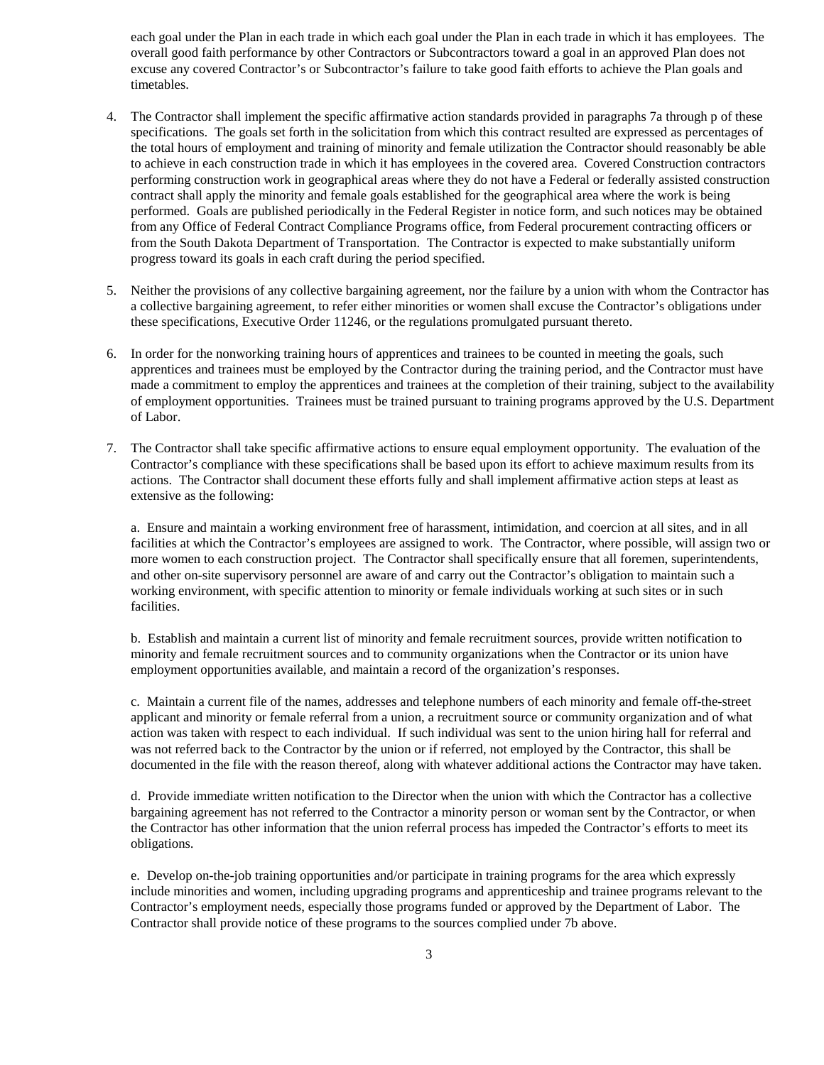each goal under the Plan in each trade in which each goal under the Plan in each trade in which it has employees. The overall good faith performance by other Contractors or Subcontractors toward a goal in an approved Plan does not excuse any covered Contractor's or Subcontractor's failure to take good faith efforts to achieve the Plan goals and timetables.

- 4. The Contractor shall implement the specific affirmative action standards provided in paragraphs 7a through p of these specifications. The goals set forth in the solicitation from which this contract resulted are expressed as percentages of the total hours of employment and training of minority and female utilization the Contractor should reasonably be able to achieve in each construction trade in which it has employees in the covered area. Covered Construction contractors performing construction work in geographical areas where they do not have a Federal or federally assisted construction contract shall apply the minority and female goals established for the geographical area where the work is being performed. Goals are published periodically in the Federal Register in notice form, and such notices may be obtained from any Office of Federal Contract Compliance Programs office, from Federal procurement contracting officers or from the South Dakota Department of Transportation. The Contractor is expected to make substantially uniform progress toward its goals in each craft during the period specified.
- 5. Neither the provisions of any collective bargaining agreement, nor the failure by a union with whom the Contractor has a collective bargaining agreement, to refer either minorities or women shall excuse the Contractor's obligations under these specifications, Executive Order 11246, or the regulations promulgated pursuant thereto.
- 6. In order for the nonworking training hours of apprentices and trainees to be counted in meeting the goals, such apprentices and trainees must be employed by the Contractor during the training period, and the Contractor must have made a commitment to employ the apprentices and trainees at the completion of their training, subject to the availability of employment opportunities. Trainees must be trained pursuant to training programs approved by the U.S. Department of Labor.
- 7. The Contractor shall take specific affirmative actions to ensure equal employment opportunity. The evaluation of the Contractor's compliance with these specifications shall be based upon its effort to achieve maximum results from its actions. The Contractor shall document these efforts fully and shall implement affirmative action steps at least as extensive as the following:

a. Ensure and maintain a working environment free of harassment, intimidation, and coercion at all sites, and in all facilities at which the Contractor's employees are assigned to work. The Contractor, where possible, will assign two or more women to each construction project. The Contractor shall specifically ensure that all foremen, superintendents, and other on-site supervisory personnel are aware of and carry out the Contractor's obligation to maintain such a working environment, with specific attention to minority or female individuals working at such sites or in such facilities.

b. Establish and maintain a current list of minority and female recruitment sources, provide written notification to minority and female recruitment sources and to community organizations when the Contractor or its union have employment opportunities available, and maintain a record of the organization's responses.

c. Maintain a current file of the names, addresses and telephone numbers of each minority and female off-the-street applicant and minority or female referral from a union, a recruitment source or community organization and of what action was taken with respect to each individual. If such individual was sent to the union hiring hall for referral and was not referred back to the Contractor by the union or if referred, not employed by the Contractor, this shall be documented in the file with the reason thereof, along with whatever additional actions the Contractor may have taken.

d. Provide immediate written notification to the Director when the union with which the Contractor has a collective bargaining agreement has not referred to the Contractor a minority person or woman sent by the Contractor, or when the Contractor has other information that the union referral process has impeded the Contractor's efforts to meet its obligations.

e. Develop on-the-job training opportunities and/or participate in training programs for the area which expressly include minorities and women, including upgrading programs and apprenticeship and trainee programs relevant to the Contractor's employment needs, especially those programs funded or approved by the Department of Labor. The Contractor shall provide notice of these programs to the sources complied under 7b above.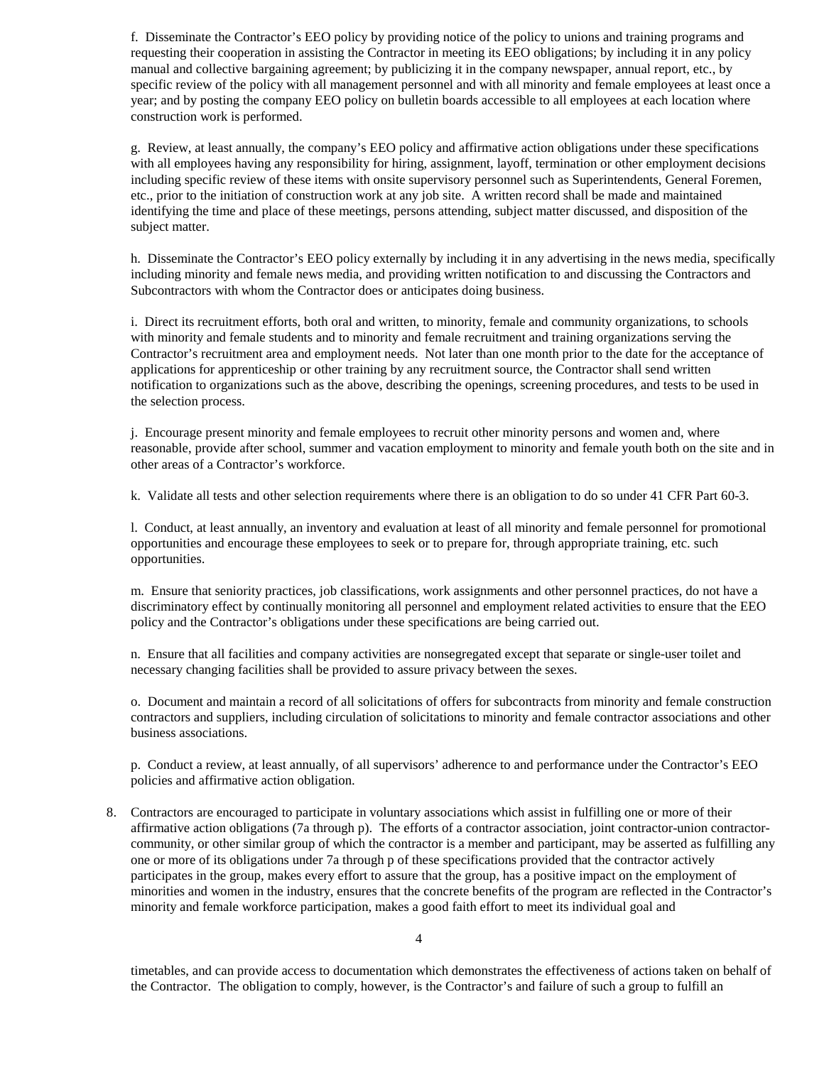f. Disseminate the Contractor's EEO policy by providing notice of the policy to unions and training programs and requesting their cooperation in assisting the Contractor in meeting its EEO obligations; by including it in any policy manual and collective bargaining agreement; by publicizing it in the company newspaper, annual report, etc., by specific review of the policy with all management personnel and with all minority and female employees at least once a year; and by posting the company EEO policy on bulletin boards accessible to all employees at each location where construction work is performed.

g. Review, at least annually, the company's EEO policy and affirmative action obligations under these specifications with all employees having any responsibility for hiring, assignment, layoff, termination or other employment decisions including specific review of these items with onsite supervisory personnel such as Superintendents, General Foremen, etc., prior to the initiation of construction work at any job site. A written record shall be made and maintained identifying the time and place of these meetings, persons attending, subject matter discussed, and disposition of the subject matter.

h. Disseminate the Contractor's EEO policy externally by including it in any advertising in the news media, specifically including minority and female news media, and providing written notification to and discussing the Contractors and Subcontractors with whom the Contractor does or anticipates doing business.

i. Direct its recruitment efforts, both oral and written, to minority, female and community organizations, to schools with minority and female students and to minority and female recruitment and training organizations serving the Contractor's recruitment area and employment needs. Not later than one month prior to the date for the acceptance of applications for apprenticeship or other training by any recruitment source, the Contractor shall send written notification to organizations such as the above, describing the openings, screening procedures, and tests to be used in the selection process.

j. Encourage present minority and female employees to recruit other minority persons and women and, where reasonable, provide after school, summer and vacation employment to minority and female youth both on the site and in other areas of a Contractor's workforce.

k. Validate all tests and other selection requirements where there is an obligation to do so under 41 CFR Part 60-3.

l. Conduct, at least annually, an inventory and evaluation at least of all minority and female personnel for promotional opportunities and encourage these employees to seek or to prepare for, through appropriate training, etc. such opportunities.

m. Ensure that seniority practices, job classifications, work assignments and other personnel practices, do not have a discriminatory effect by continually monitoring all personnel and employment related activities to ensure that the EEO policy and the Contractor's obligations under these specifications are being carried out.

n. Ensure that all facilities and company activities are nonsegregated except that separate or single-user toilet and necessary changing facilities shall be provided to assure privacy between the sexes.

o. Document and maintain a record of all solicitations of offers for subcontracts from minority and female construction contractors and suppliers, including circulation of solicitations to minority and female contractor associations and other business associations.

p. Conduct a review, at least annually, of all supervisors' adherence to and performance under the Contractor's EEO policies and affirmative action obligation.

8. Contractors are encouraged to participate in voluntary associations which assist in fulfilling one or more of their affirmative action obligations (7a through p). The efforts of a contractor association, joint contractor-union contractorcommunity, or other similar group of which the contractor is a member and participant, may be asserted as fulfilling any one or more of its obligations under 7a through p of these specifications provided that the contractor actively participates in the group, makes every effort to assure that the group, has a positive impact on the employment of minorities and women in the industry, ensures that the concrete benefits of the program are reflected in the Contractor's minority and female workforce participation, makes a good faith effort to meet its individual goal and

timetables, and can provide access to documentation which demonstrates the effectiveness of actions taken on behalf of the Contractor. The obligation to comply, however, is the Contractor's and failure of such a group to fulfill an